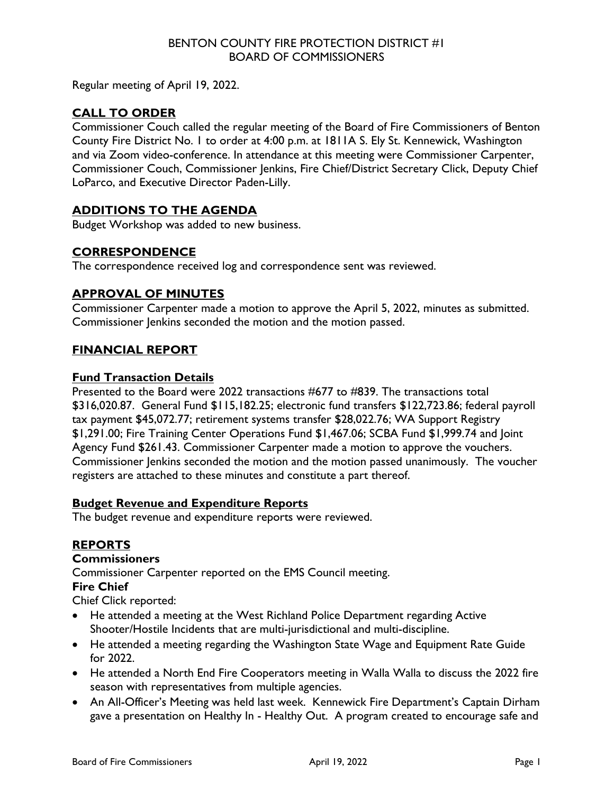## BENTON COUNTY FIRE PROTECTION DISTRICT #1 BOARD OF COMMISSIONERS

Regular meeting of April 19, 2022.

# **CALL TO ORDER**

Commissioner Couch called the regular meeting of the Board of Fire Commissioners of Benton County Fire District No. 1 to order at 4:00 p.m. at 1811A S. Ely St. Kennewick, Washington and via Zoom video-conference. In attendance at this meeting were Commissioner Carpenter, Commissioner Couch, Commissioner Jenkins, Fire Chief/District Secretary Click, Deputy Chief LoParco, and Executive Director Paden-Lilly.

# **ADDITIONS TO THE AGENDA**

Budget Workshop was added to new business.

### **CORRESPONDENCE**

The correspondence received log and correspondence sent was reviewed.

### **APPROVAL OF MINUTES**

Commissioner Carpenter made a motion to approve the April 5, 2022, minutes as submitted. Commissioner Jenkins seconded the motion and the motion passed.

# **FINANCIAL REPORT**

### **Fund Transaction Details**

Presented to the Board were 2022 transactions #677 to #839. The transactions total \$316,020.87. General Fund \$115,182.25; electronic fund transfers \$122,723.86; federal payroll tax payment \$45,072.77; retirement systems transfer \$28,022.76; WA Support Registry \$1,291.00; Fire Training Center Operations Fund \$1,467.06; SCBA Fund \$1,999.74 and Joint Agency Fund \$261.43. Commissioner Carpenter made a motion to approve the vouchers. Commissioner Jenkins seconded the motion and the motion passed unanimously. The voucher registers are attached to these minutes and constitute a part thereof.

### **Budget Revenue and Expenditure Reports**

The budget revenue and expenditure reports were reviewed.

# **REPORTS**

### **Commissioners**

Commissioner Carpenter reported on the EMS Council meeting.

### **Fire Chief**

Chief Click reported:

- He attended a meeting at the West Richland Police Department regarding Active Shooter/Hostile Incidents that are multi-jurisdictional and multi-discipline.
- He attended a meeting regarding the Washington State Wage and Equipment Rate Guide for 2022.
- He attended a North End Fire Cooperators meeting in Walla Walla to discuss the 2022 fire season with representatives from multiple agencies.
- An All-Officer's Meeting was held last week. Kennewick Fire Department's Captain Dirham gave a presentation on Healthy In - Healthy Out. A program created to encourage safe and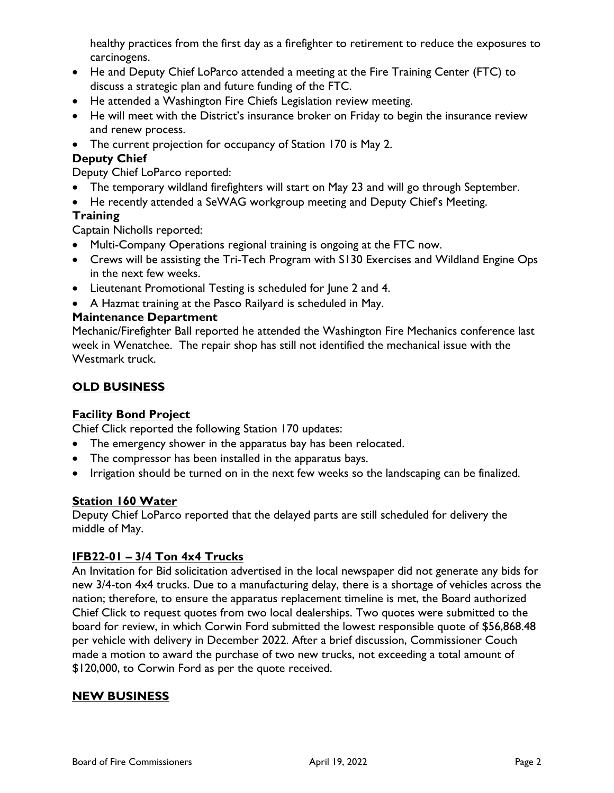healthy practices from the first day as a firefighter to retirement to reduce the exposures to carcinogens.

- He and Deputy Chief LoParco attended a meeting at the Fire Training Center (FTC) to discuss a strategic plan and future funding of the FTC.
- He attended a Washington Fire Chiefs Legislation review meeting.
- He will meet with the District's insurance broker on Friday to begin the insurance review and renew process.
- The current projection for occupancy of Station 170 is May 2.

# **Deputy Chief**

Deputy Chief LoParco reported:

- The temporary wildland firefighters will start on May 23 and will go through September.
- He recently attended a SeWAG workgroup meeting and Deputy Chief's Meeting.

# **Training**

Captain Nicholls reported:

- Multi-Company Operations regional training is ongoing at the FTC now.
- Crews will be assisting the Tri-Tech Program with S130 Exercises and Wildland Engine Ops in the next few weeks.
- Lieutenant Promotional Testing is scheduled for June 2 and 4.
- A Hazmat training at the Pasco Railyard is scheduled in May.

# **Maintenance Department**

Mechanic/Firefighter Ball reported he attended the Washington Fire Mechanics conference last week in Wenatchee. The repair shop has still not identified the mechanical issue with the Westmark truck.

# **OLD BUSINESS**

# **Facility Bond Project**

Chief Click reported the following Station 170 updates:

- The emergency shower in the apparatus bay has been relocated.
- The compressor has been installed in the apparatus bays.
- Irrigation should be turned on in the next few weeks so the landscaping can be finalized.

# **Station 160 Water**

Deputy Chief LoParco reported that the delayed parts are still scheduled for delivery the middle of May.

# **IFB22-01 – 3/4 Ton 4x4 Trucks**

An Invitation for Bid solicitation advertised in the local newspaper did not generate any bids for new 3/4-ton 4x4 trucks. Due to a manufacturing delay, there is a shortage of vehicles across the nation; therefore, to ensure the apparatus replacement timeline is met, the Board authorized Chief Click to request quotes from two local dealerships. Two quotes were submitted to the board for review, in which Corwin Ford submitted the lowest responsible quote of \$56,868.48 per vehicle with delivery in December 2022. After a brief discussion, Commissioner Couch made a motion to award the purchase of two new trucks, not exceeding a total amount of \$120,000, to Corwin Ford as per the quote received.

# **NEW BUSINESS**